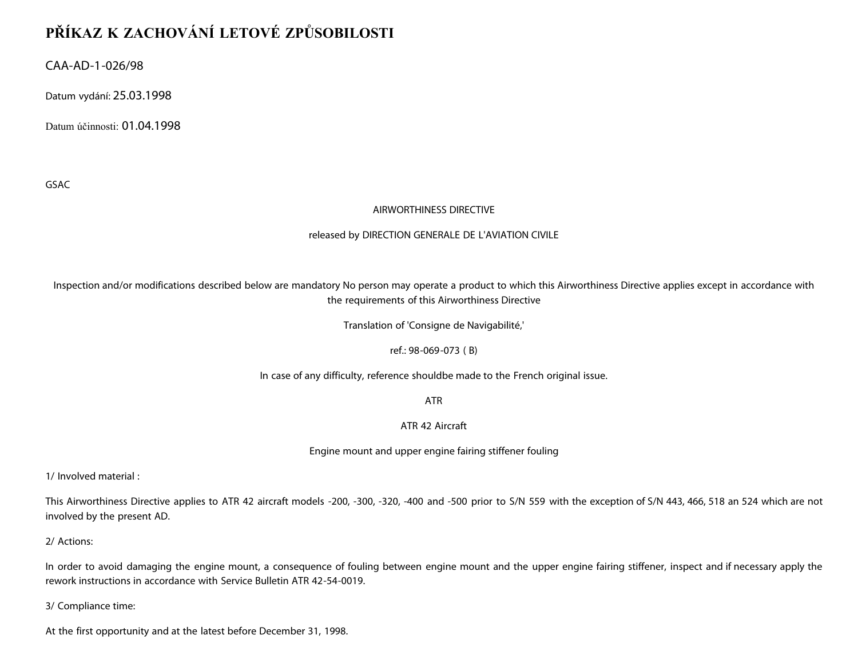# **PŘÍKAZ K ZACHOVÁNÍ LETOVÉ ZPŮSOBILOSTI**

CAA-AD-1-026/98

Datum vydání: 25.03.1998

Datum účinnosti: 01.04.1998

GSAC

## AIRWORTHINESS DIRECTIVE

#### released by DIRECTION GENERALE DE L'AVIATION CIVILE

Inspection and/or modifications described below are mandatory No person may operate a product to which this Airworthiness Directive applies except in accordance with the requirements of this Airworthiness Directive

Translation of 'Consigne de Navigabilité,'

ref.: 98-069-073 ( B)

In case of any difficulty, reference shouldbe made to the French original issue.

ATR

ATR 42 Aircraft

Engine mount and upper engine fairing stiffener fouling

1/ Involved material :

This Airworthiness Directive applies to ATR 42 aircraft models -200, -300, -320, -400 and -500 prior to S/N 559 with the exception of S/N 443, 466, 518 an 524 which are not involved by the present AD.

2/ Actions:

In order to avoid damaging the engine mount, a consequence of fouling between engine mount and the upper engine fairing stiffener, inspect and if necessary apply the rework instructions in accordance with Service Bulletin ATR 42-54-0019.

3/ Compliance time:

At the first opportunity and at the latest before December 31, 1998.